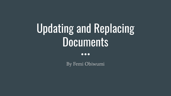# Updating and Replacing **Documents**

 $\bullet\bullet\bullet$ 

By Femi Obiwumi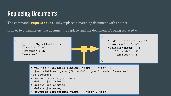## Replacing Documents

The command **repalaceOne** fully replaces a matching document with another.

It takes two parameters, the document to replace, and the document it's being replaced with.

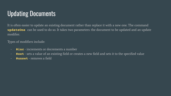## Updating Documents

It is often easier to update an existing document rather than replace it with a new one. The command **updateOne** can be used to do so. It takes two parameters: the document to be updated and an update modifier.

Types of modifiers include:

- **\$inc** increments or decrements a number
- **\$set** sets a value of an existing field or creates a new field and sets it to the specified value
- **\$unset** removes a field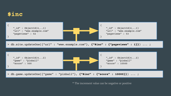

\* The increment value can be negative or positive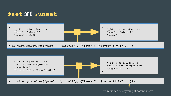#### **\$set** and **\$unset**

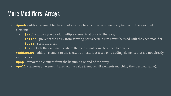## More Modifiers: Arrays'

- **\$push** adds an element to the end of an array field or creates a new array field with the specified elements
	- **\$each** allows you to add multiple elements at once to the array
	- **\$slice** prevents the array from growing past a certain size (must be used with the each modifier)
	- **\$sort** sorts the array
	- **\$ne** selects the documents where the field is not equal to a specified value
- **\$addToSet** adds an element to the array, but treats it as a set, only adding elements that are not already in the array.
- **\$pop** removes an element from the beginning or end of the array.
- **\$pull** removes an element based on the value (removes all elements matching the specified value).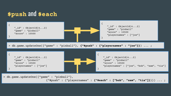#### **\$push** and **\$each**



{"\$push" : {"playernames" : **{"\$each" : ["bob", "sam", "tia"]}**}}) ... ;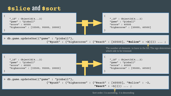#### **\$slice** and **\$sort**



```
 "$sort" : -1}}}) ... ;
```
Sort order. 1 is ascending, -1 is descending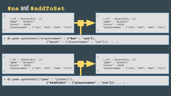#### **\$ne** and **\$addToSet**

```
{
    "_id" : ObjectId(4...2) "game" : "pinball"
     "score" : 60500
     "playernames" : ["joe", "bob", "sam", "tia"]
}
```

```
"_id" : ObjectId(4...2) "game" : "pinball"
 "score" : 60500
 "playernames" : ["joe", "bob", "sam", "tia"]
```

```
> db.game.updateOne({"playernames" : {"$ne" : "joe"}}, 
                          {"$push" : {"playernames" : "joe"}}) ... ;
```


{

}

```
> db.game.updateOne({"game" : "pinball"}, 
                          {"$addToSet" : {"playernames" : "joe"}}) ... ;
```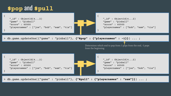#### **\$pop** and **\$pull**



> db.game.updateOne({"game" : "pinball"}, **{"\$pull" : {"playernames" : "sam"}}**) ... ;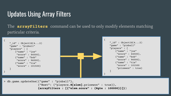### Updates Using Array Filters

The **arrayFilters** command can be used to only modify elements matching particular criteria.

| " $id"$ : ObjectId $(42)$<br>" $id"$ : ObjectId $(42)$<br>"game" : "pinball"<br>"game" : "pinball"<br>"players" : $[$<br>"players" : $[$<br>${\'}'$ name" : "joe"<br>${\'}'$ name" : "joe"<br>"score" : $44500$ ,<br>"score" : $44500$ ,<br>{"name": "bob"<br>{"name": "bob"<br>"score" : $96000$ ,<br>"score" : 96000},<br>${$ "name" : "tia"<br>${$ "name" : "tia"<br>"score" : 101500<br>"score" : 101500}<br>"prizewon" : true} |
|-------------------------------------------------------------------------------------------------------------------------------------------------------------------------------------------------------------------------------------------------------------------------------------------------------------------------------------------------------------------------------------------------------------------------------------|
|-------------------------------------------------------------------------------------------------------------------------------------------------------------------------------------------------------------------------------------------------------------------------------------------------------------------------------------------------------------------------------------------------------------------------------------|

> db.game.updateOne({"game" : "pinball"}, {"\$set": {"players.**\$[elem]**.prizewon" : true}}, **{arrayFilters : [{"elem.score" : {\$gte : 100000}}]}**)